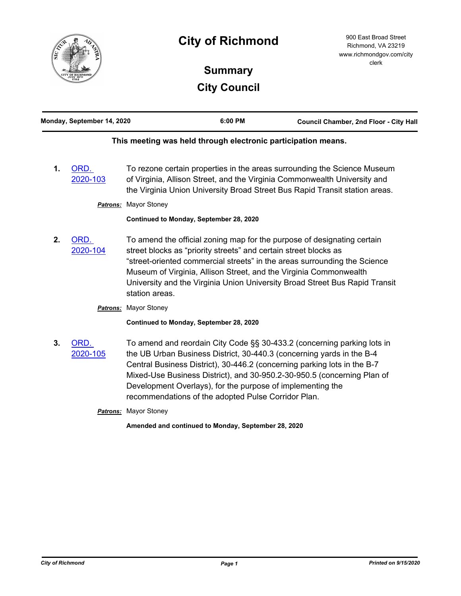

# **City of Richmond**

# **Summary City Council**

|    | Monday, September 14, 2020 |                                                                                                                                                                                                                                                                        | 6:00 PM | Council Chamber, 2nd Floor - City Hall                                                                                                                                                                                               |
|----|----------------------------|------------------------------------------------------------------------------------------------------------------------------------------------------------------------------------------------------------------------------------------------------------------------|---------|--------------------------------------------------------------------------------------------------------------------------------------------------------------------------------------------------------------------------------------|
|    |                            | This meeting was held through electronic participation means.                                                                                                                                                                                                          |         |                                                                                                                                                                                                                                      |
| 1. | ORD.<br>2020-103           |                                                                                                                                                                                                                                                                        |         | To rezone certain properties in the areas surrounding the Science Museum<br>of Virginia, Allison Street, and the Virginia Commonwealth University and<br>the Virginia Union University Broad Street Bus Rapid Transit station areas. |
|    | Patrons:                   | <b>Mayor Stoney</b>                                                                                                                                                                                                                                                    |         |                                                                                                                                                                                                                                      |
|    |                            | Continued to Monday, September 28, 2020                                                                                                                                                                                                                                |         |                                                                                                                                                                                                                                      |
| 2. | ORD.<br>2020-104           | To amend the official zoning map for the purpose of designating certain<br>street blocks as "priority streets" and certain street blocks as<br>Museum of Virginia, Allison Street, and the Virginia Commonwealth<br>station areas.                                     |         | "street-oriented commercial streets" in the areas surrounding the Science<br>University and the Virginia Union University Broad Street Bus Rapid Transit                                                                             |
|    | Patrons:                   | <b>Mayor Stoney</b>                                                                                                                                                                                                                                                    |         |                                                                                                                                                                                                                                      |
|    |                            | Continued to Monday, September 28, 2020                                                                                                                                                                                                                                |         |                                                                                                                                                                                                                                      |
| 3. | ORD.<br>2020-105           | the UB Urban Business District, 30-440.3 (concerning yards in the B-4<br>Central Business District), 30-446.2 (concerning parking lots in the B-7<br>Development Overlays), for the purpose of implementing the<br>recommendations of the adopted Pulse Corridor Plan. |         | To amend and reordain City Code §§ 30-433.2 (concerning parking lots in<br>Mixed-Use Business District), and 30-950.2-30-950.5 (concerning Plan of                                                                                   |
|    |                            | <b>Patrons:</b> Mayor Stoney                                                                                                                                                                                                                                           |         |                                                                                                                                                                                                                                      |
|    |                            | Amended and continued to Monday, September 28, 2020                                                                                                                                                                                                                    |         |                                                                                                                                                                                                                                      |
|    |                            |                                                                                                                                                                                                                                                                        |         |                                                                                                                                                                                                                                      |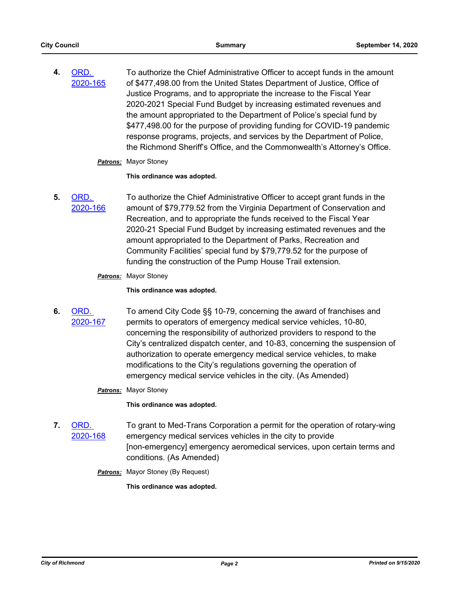**4.** ORD. [2020-165](http://richmondva.legistar.com/gateway.aspx?m=l&id=/matter.aspx?key=28131) To authorize the Chief Administrative Officer to accept funds in the amount of \$477,498.00 from the United States Department of Justice, Office of Justice Programs, and to appropriate the increase to the Fiscal Year 2020-2021 Special Fund Budget by increasing estimated revenues and the amount appropriated to the Department of Police's special fund by \$477,498.00 for the purpose of providing funding for COVID-19 pandemic response programs, projects, and services by the Department of Police, the Richmond Sheriff's Office, and the Commonwealth's Attorney's Office.

#### *Patrons:* Mayor Stoney

**This ordinance was adopted.**

**5.** ORD. [2020-166](http://richmondva.legistar.com/gateway.aspx?m=l&id=/matter.aspx?key=28132) To authorize the Chief Administrative Officer to accept grant funds in the amount of \$79,779.52 from the Virginia Department of Conservation and Recreation, and to appropriate the funds received to the Fiscal Year 2020-21 Special Fund Budget by increasing estimated revenues and the amount appropriated to the Department of Parks, Recreation and Community Facilities' special fund by \$79,779.52 for the purpose of funding the construction of the Pump House Trail extension.

#### *Patrons:* Mayor Stoney

#### **This ordinance was adopted.**

**6.** ORD. [2020-167](http://richmondva.legistar.com/gateway.aspx?m=l&id=/matter.aspx?key=28121) To amend City Code §§ 10-79, concerning the award of franchises and permits to operators of emergency medical service vehicles, 10-80, concerning the responsibility of authorized providers to respond to the City's centralized dispatch center, and 10-83, concerning the suspension of authorization to operate emergency medical service vehicles, to make modifications to the City's regulations governing the operation of emergency medical service vehicles in the city. (As Amended)

# *Patrons:* Mayor Stoney

**This ordinance was adopted.**

- **7.** ORD. [2020-168](http://richmondva.legistar.com/gateway.aspx?m=l&id=/matter.aspx?key=28119) To grant to Med-Trans Corporation a permit for the operation of rotary-wing emergency medical services vehicles in the city to provide [non-emergency] emergency aeromedical services, upon certain terms and conditions. (As Amended)
	- **Patrons:** Mayor Stoney (By Request)

**This ordinance was adopted.**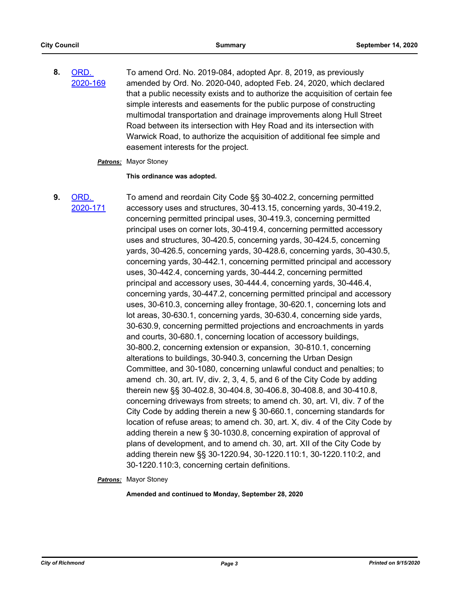**8.** ORD. [2020-169](http://richmondva.legistar.com/gateway.aspx?m=l&id=/matter.aspx?key=28138) To amend Ord. No. 2019-084, adopted Apr. 8, 2019, as previously amended by Ord. No. 2020-040, adopted Feb. 24, 2020, which declared that a public necessity exists and to authorize the acquisition of certain fee simple interests and easements for the public purpose of constructing multimodal transportation and drainage improvements along Hull Street Road between its intersection with Hey Road and its intersection with Warwick Road, to authorize the acquisition of additional fee simple and easement interests for the project.

#### *Patrons:* Mayor Stoney

#### **This ordinance was adopted.**

**9.** ORD. [2020-171](http://richmondva.legistar.com/gateway.aspx?m=l&id=/matter.aspx?key=28140) To amend and reordain City Code §§ 30-402.2, concerning permitted accessory uses and structures, 30-413.15, concerning yards, 30-419.2, concerning permitted principal uses, 30-419.3, concerning permitted principal uses on corner lots, 30-419.4, concerning permitted accessory uses and structures, 30-420.5, concerning yards, 30-424.5, concerning yards, 30-426.5, concerning yards, 30-428.6, concerning yards, 30-430.5, concerning yards, 30-442.1, concerning permitted principal and accessory uses, 30-442.4, concerning yards, 30-444.2, concerning permitted principal and accessory uses, 30-444.4, concerning yards, 30-446.4, concerning yards, 30-447.2, concerning permitted principal and accessory uses, 30-610.3, concerning alley frontage, 30-620.1, concerning lots and lot areas, 30-630.1, concerning yards, 30-630.4, concerning side yards, 30-630.9, concerning permitted projections and encroachments in yards and courts, 30-680.1, concerning location of accessory buildings, 30-800.2, concerning extension or expansion, 30-810.1, concerning alterations to buildings, 30-940.3, concerning the Urban Design Committee, and 30-1080, concerning unlawful conduct and penalties; to amend ch. 30, art. IV, div. 2, 3, 4, 5, and 6 of the City Code by adding therein new §§ 30-402.8, 30-404.8, 30-406.8, 30-408.8, and 30-410.8, concerning driveways from streets; to amend ch. 30, art. VI, div. 7 of the City Code by adding therein a new § 30-660.1, concerning standards for location of refuse areas; to amend ch. 30, art. X, div. 4 of the City Code by adding therein a new § 30-1030.8, concerning expiration of approval of plans of development, and to amend ch. 30, art. XII of the City Code by adding therein new §§ 30-1220.94, 30-1220.110:1, 30-1220.110:2, and 30-1220.110:3, concerning certain definitions.

*Patrons:* Mayor Stoney

**Amended and continued to Monday, September 28, 2020**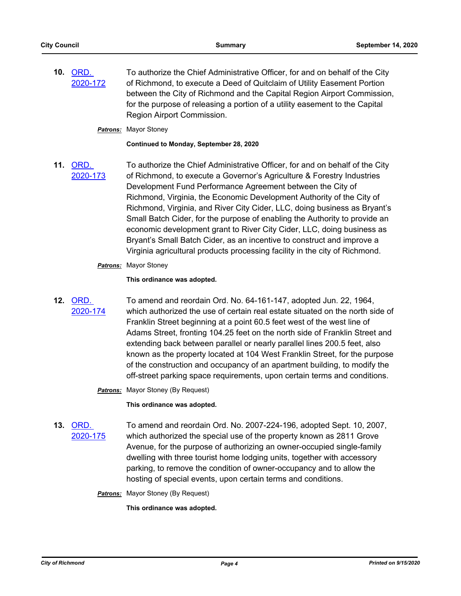**10.** ORD. [2020-172](http://richmondva.legistar.com/gateway.aspx?m=l&id=/matter.aspx?key=28141) To authorize the Chief Administrative Officer, for and on behalf of the City of Richmond, to execute a Deed of Quitclaim of Utility Easement Portion between the City of Richmond and the Capital Region Airport Commission, for the purpose of releasing a portion of a utility easement to the Capital Region Airport Commission.

# *Patrons:* Mayor Stoney

#### **Continued to Monday, September 28, 2020**

**11.** ORD. [2020-173](http://richmondva.legistar.com/gateway.aspx?m=l&id=/matter.aspx?key=28142) To authorize the Chief Administrative Officer, for and on behalf of the City of Richmond, to execute a Governor's Agriculture & Forestry Industries Development Fund Performance Agreement between the City of Richmond, Virginia, the Economic Development Authority of the City of Richmond, Virginia, and River City Cider, LLC, doing business as Bryant's Small Batch Cider, for the purpose of enabling the Authority to provide an economic development grant to River City Cider, LLC, doing business as Bryant's Small Batch Cider, as an incentive to construct and improve a Virginia agricultural products processing facility in the city of Richmond.

# *Patrons:* Mayor Stoney

# **This ordinance was adopted.**

**12.** ORD. [2020-174](http://richmondva.legistar.com/gateway.aspx?m=l&id=/matter.aspx?key=27962)

To amend and reordain Ord. No. 64-161-147, adopted Jun. 22, 1964, which authorized the use of certain real estate situated on the north side of Franklin Street beginning at a point 60.5 feet west of the west line of Adams Street, fronting 104.25 feet on the north side of Franklin Street and extending back between parallel or nearly parallel lines 200.5 feet, also known as the property located at 104 West Franklin Street, for the purpose of the construction and occupancy of an apartment building, to modify the off-street parking space requirements, upon certain terms and conditions.

*Patrons:* Mayor Stoney (By Request)

**This ordinance was adopted.**

- **13.** ORD. [2020-175](http://richmondva.legistar.com/gateway.aspx?m=l&id=/matter.aspx?key=27481) To amend and reordain Ord. No. 2007-224-196, adopted Sept. 10, 2007, which authorized the special use of the property known as 2811 Grove Avenue, for the purpose of authorizing an owner-occupied single-family dwelling with three tourist home lodging units, together with accessory parking, to remove the condition of owner-occupancy and to allow the hosting of special events, upon certain terms and conditions.
	- **Patrons:** Mayor Stoney (By Request)

**This ordinance was adopted.**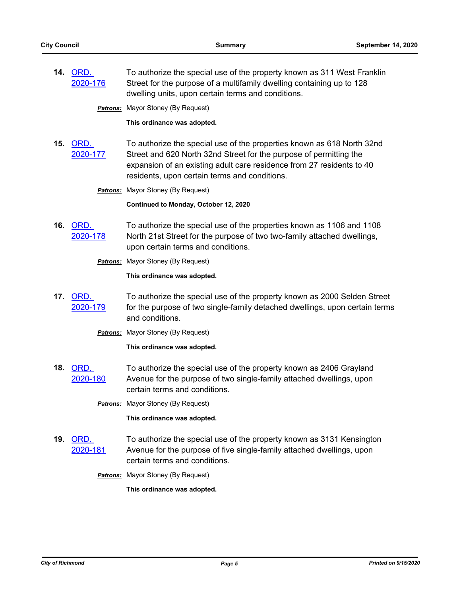**14.** ORD. [2020-176](http://richmondva.legistar.com/gateway.aspx?m=l&id=/matter.aspx?key=27963) To authorize the special use of the property known as 311 West Franklin Street for the purpose of a multifamily dwelling containing up to 128 dwelling units, upon certain terms and conditions.

**Patrons:** Mayor Stoney (By Request)

**This ordinance was adopted.**

**15.** ORD. [2020-177](http://richmondva.legistar.com/gateway.aspx?m=l&id=/matter.aspx?key=27226) To authorize the special use of the properties known as 618 North 32nd Street and 620 North 32nd Street for the purpose of permitting the expansion of an existing adult care residence from 27 residents to 40 residents, upon certain terms and conditions.

**Patrons:** Mayor Stoney (By Request)

**Continued to Monday, October 12, 2020**

- **16.** ORD. [2020-178](http://richmondva.legistar.com/gateway.aspx?m=l&id=/matter.aspx?key=27956) To authorize the special use of the properties known as 1106 and 1108 North 21st Street for the purpose of two two-family attached dwellings, upon certain terms and conditions.
	- **Patrons:** Mayor Stoney (By Request)

**This ordinance was adopted.**

**17.** ORD. [2020-179](http://richmondva.legistar.com/gateway.aspx?m=l&id=/matter.aspx?key=27696) To authorize the special use of the property known as 2000 Selden Street for the purpose of two single-family detached dwellings, upon certain terms and conditions.

*Patrons:* Mayor Stoney (By Request)

**This ordinance was adopted.**

**18.** ORD. [2020-180](http://richmondva.legistar.com/gateway.aspx?m=l&id=/matter.aspx?key=27914) To authorize the special use of the property known as 2406 Grayland Avenue for the purpose of two single-family attached dwellings, upon certain terms and conditions.

*Patrons:* Mayor Stoney (By Request)

**This ordinance was adopted.**

**19.** ORD. [2020-181](http://richmondva.legistar.com/gateway.aspx?m=l&id=/matter.aspx?key=27767) To authorize the special use of the property known as 3131 Kensington Avenue for the purpose of five single-family attached dwellings, upon certain terms and conditions.

**Patrons:** Mayor Stoney (By Request)

**This ordinance was adopted.**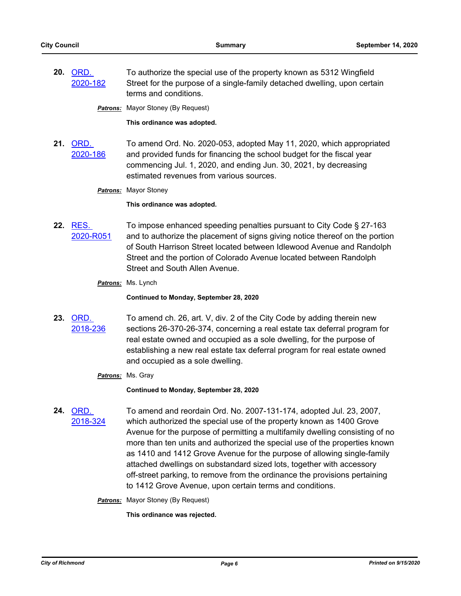**20.** ORD. [2020-182](http://richmondva.legistar.com/gateway.aspx?m=l&id=/matter.aspx?key=27957) To authorize the special use of the property known as 5312 Wingfield Street for the purpose of a single-family detached dwelling, upon certain terms and conditions.

**Patrons:** Mayor Stoney (By Request)

**This ordinance was adopted.**

**21.** ORD. [2020-186](http://richmondva.legistar.com/gateway.aspx?m=l&id=/matter.aspx?key=28173) To amend Ord. No. 2020-053, adopted May 11, 2020, which appropriated and provided funds for financing the school budget for the fiscal year commencing Jul. 1, 2020, and ending Jun. 30, 2021, by decreasing estimated revenues from various sources.

*Patrons:* Mayor Stoney

**This ordinance was adopted.**

- **22.** RES. [2020-R051](http://richmondva.legistar.com/gateway.aspx?m=l&id=/matter.aspx?key=28139) To impose enhanced speeding penalties pursuant to City Code § 27-163 and to authorize the placement of signs giving notice thereof on the portion of South Harrison Street located between Idlewood Avenue and Randolph Street and the portion of Colorado Avenue located between Randolph Street and South Allen Avenue.
	- *Patrons:* Ms. Lynch

**Continued to Monday, September 28, 2020**

- **23.** ORD. [2018-236](http://richmondva.legistar.com/gateway.aspx?m=l&id=/matter.aspx?key=25392) To amend ch. 26, art. V, div. 2 of the City Code by adding therein new sections 26-370-26-374, concerning a real estate tax deferral program for real estate owned and occupied as a sole dwelling, for the purpose of establishing a new real estate tax deferral program for real estate owned and occupied as a sole dwelling.
	- *Patrons:* Ms. Gray

**Continued to Monday, September 28, 2020**

**24.** ORD. [2018-324](http://richmondva.legistar.com/gateway.aspx?m=l&id=/matter.aspx?key=25348) To amend and reordain Ord. No. 2007-131-174, adopted Jul. 23, 2007, which authorized the special use of the property known as 1400 Grove Avenue for the purpose of permitting a multifamily dwelling consisting of no more than ten units and authorized the special use of the properties known as 1410 and 1412 Grove Avenue for the purpose of allowing single-family attached dwellings on substandard sized lots, together with accessory off-street parking, to remove from the ordinance the provisions pertaining to 1412 Grove Avenue, upon certain terms and conditions.

**Patrons:** Mayor Stoney (By Request)

**This ordinance was rejected.**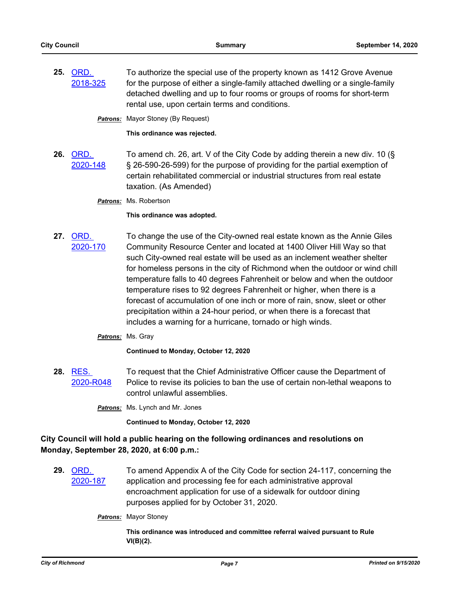**25.** ORD. [2018-325](http://richmondva.legistar.com/gateway.aspx?m=l&id=/matter.aspx?key=24609) To authorize the special use of the property known as 1412 Grove Avenue for the purpose of either a single-family attached dwelling or a single-family detached dwelling and up to four rooms or groups of rooms for short-term rental use, upon certain terms and conditions.

**Patrons:** Mayor Stoney (By Request)

**This ordinance was rejected.**

- **26.** ORD. [2020-148](http://richmondva.legistar.com/gateway.aspx?m=l&id=/matter.aspx?key=27922) To amend ch. 26, art. V of the City Code by adding therein a new div. 10 (§ § 26-590-26-599) for the purpose of providing for the partial exemption of certain rehabilitated commercial or industrial structures from real estate taxation. (As Amended)
	- *Patrons:* Ms. Robertson

# **This ordinance was adopted.**

**27.** ORD. [2020-170](http://richmondva.legistar.com/gateway.aspx?m=l&id=/matter.aspx?key=28136) To change the use of the City-owned real estate known as the Annie Giles Community Resource Center and located at 1400 Oliver Hill Way so that such City-owned real estate will be used as an inclement weather shelter for homeless persons in the city of Richmond when the outdoor or wind chill temperature falls to 40 degrees Fahrenheit or below and when the outdoor temperature rises to 92 degrees Fahrenheit or higher, when there is a forecast of accumulation of one inch or more of rain, snow, sleet or other precipitation within a 24-hour period, or when there is a forecast that includes a warning for a hurricane, tornado or high winds.

# *Patrons:* Ms. Gray

**Continued to Monday, October 12, 2020**

**28.** RES. [2020-R048](http://richmondva.legistar.com/gateway.aspx?m=l&id=/matter.aspx?key=27998) To request that the Chief Administrative Officer cause the Department of Police to revise its policies to ban the use of certain non-lethal weapons to control unlawful assemblies.

*Patrons:* Ms. Lynch and Mr. Jones

**Continued to Monday, October 12, 2020**

# **City Council will hold a public hearing on the following ordinances and resolutions on Monday, September 28, 2020, at 6:00 p.m.:**

**29.** ORD. [2020-187](http://richmondva.legistar.com/gateway.aspx?m=l&id=/matter.aspx?key=28321) To amend Appendix A of the City Code for section 24-117, concerning the application and processing fee for each administrative approval encroachment application for use of a sidewalk for outdoor dining purposes applied for by October 31, 2020.

*Patrons:* Mayor Stoney

**This ordinance was introduced and committee referral waived pursuant to Rule VI(B)(2).**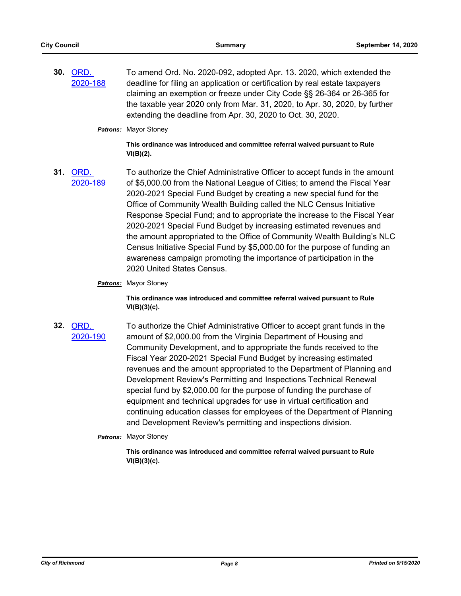**30.** ORD. [2020-188](http://richmondva.legistar.com/gateway.aspx?m=l&id=/matter.aspx?key=28322) To amend Ord. No. 2020-092, adopted Apr. 13. 2020, which extended the deadline for filing an application or certification by real estate taxpayers claiming an exemption or freeze under City Code §§ 26-364 or 26-365 for the taxable year 2020 only from Mar. 31, 2020, to Apr. 30, 2020, by further extending the deadline from Apr. 30, 2020 to Oct. 30, 2020.

#### *Patrons:* Mayor Stoney

**This ordinance was introduced and committee referral waived pursuant to Rule VI(B)(2).**

- **31.** ORD. [2020-189](http://richmondva.legistar.com/gateway.aspx?m=l&id=/matter.aspx?key=28323) To authorize the Chief Administrative Officer to accept funds in the amount of \$5,000.00 from the National League of Cities; to amend the Fiscal Year 2020-2021 Special Fund Budget by creating a new special fund for the Office of Community Wealth Building called the NLC Census Initiative Response Special Fund; and to appropriate the increase to the Fiscal Year 2020-2021 Special Fund Budget by increasing estimated revenues and the amount appropriated to the Office of Community Wealth Building's NLC Census Initiative Special Fund by \$5,000.00 for the purpose of funding an awareness campaign promoting the importance of participation in the 2020 United States Census.
	- *Patrons:* Mayor Stoney

**This ordinance was introduced and committee referral waived pursuant to Rule VI(B)(3)(c).**

- **32.** ORD. [2020-190](http://richmondva.legistar.com/gateway.aspx?m=l&id=/matter.aspx?key=28324) To authorize the Chief Administrative Officer to accept grant funds in the amount of \$2,000.00 from the Virginia Department of Housing and Community Development, and to appropriate the funds received to the Fiscal Year 2020-2021 Special Fund Budget by increasing estimated revenues and the amount appropriated to the Department of Planning and Development Review's Permitting and Inspections Technical Renewal special fund by \$2,000.00 for the purpose of funding the purchase of equipment and technical upgrades for use in virtual certification and continuing education classes for employees of the Department of Planning and Development Review's permitting and inspections division.
	- *Patrons:* Mayor Stoney

**This ordinance was introduced and committee referral waived pursuant to Rule VI(B)(3)(c).**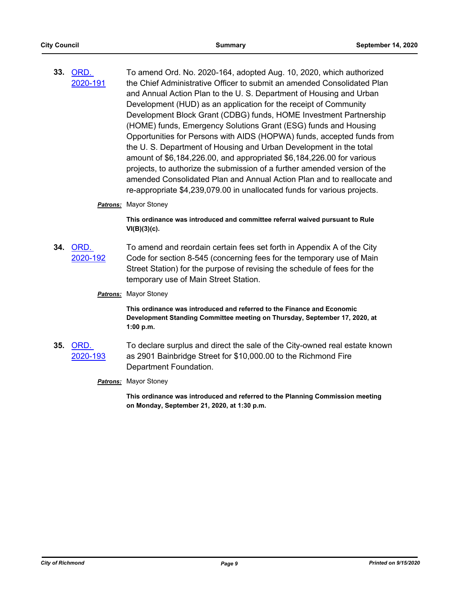- **33.** ORD. [2020-191](http://richmondva.legistar.com/gateway.aspx?m=l&id=/matter.aspx?key=28325) To amend Ord. No. 2020-164, adopted Aug. 10, 2020, which authorized the Chief Administrative Officer to submit an amended Consolidated Plan and Annual Action Plan to the U. S. Department of Housing and Urban Development (HUD) as an application for the receipt of Community Development Block Grant (CDBG) funds, HOME Investment Partnership (HOME) funds, Emergency Solutions Grant (ESG) funds and Housing Opportunities for Persons with AIDS (HOPWA) funds, accepted funds from the U. S. Department of Housing and Urban Development in the total amount of \$6,184,226.00, and appropriated \$6,184,226.00 for various projects, to authorize the submission of a further amended version of the amended Consolidated Plan and Annual Action Plan and to reallocate and re-appropriate \$4,239,079.00 in unallocated funds for various projects.
	- *Patrons:* Mayor Stoney

**This ordinance was introduced and committee referral waived pursuant to Rule VI(B)(3)(c).**

- **34.** ORD. [2020-192](http://richmondva.legistar.com/gateway.aspx?m=l&id=/matter.aspx?key=28326) To amend and reordain certain fees set forth in Appendix A of the City Code for section 8-545 (concerning fees for the temporary use of Main Street Station) for the purpose of revising the schedule of fees for the temporary use of Main Street Station.
	- *Patrons:* Mayor Stoney

**This ordinance was introduced and referred to the Finance and Economic Development Standing Committee meeting on Thursday, September 17, 2020, at 1:00 p.m.**

- **35.** ORD. [2020-193](http://richmondva.legistar.com/gateway.aspx?m=l&id=/matter.aspx?key=28327) To declare surplus and direct the sale of the City-owned real estate known as 2901 Bainbridge Street for \$10,000.00 to the Richmond Fire Department Foundation.
	- *Patrons:* Mayor Stoney

**This ordinance was introduced and referred to the Planning Commission meeting on Monday, September 21, 2020, at 1:30 p.m.**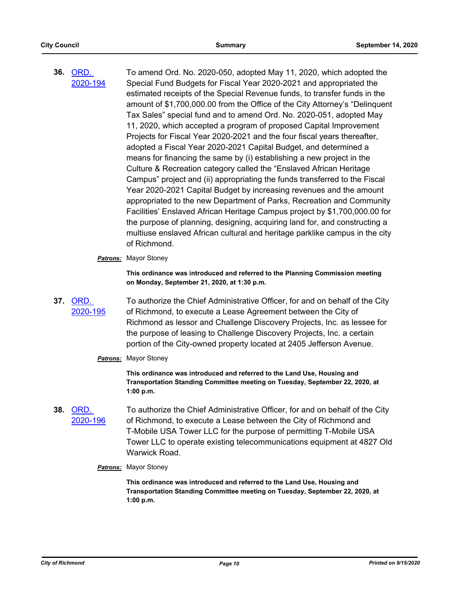- **36.** ORD. [2020-194](http://richmondva.legistar.com/gateway.aspx?m=l&id=/matter.aspx?key=28328) To amend Ord. No. 2020-050, adopted May 11, 2020, which adopted the Special Fund Budgets for Fiscal Year 2020-2021 and appropriated the estimated receipts of the Special Revenue funds, to transfer funds in the amount of \$1,700,000.00 from the Office of the City Attorney's "Delinquent Tax Sales" special fund and to amend Ord. No. 2020-051, adopted May 11, 2020, which accepted a program of proposed Capital Improvement Projects for Fiscal Year 2020-2021 and the four fiscal years thereafter, adopted a Fiscal Year 2020-2021 Capital Budget, and determined a means for financing the same by (i) establishing a new project in the Culture & Recreation category called the "Enslaved African Heritage Campus" project and (ii) appropriating the funds transferred to the Fiscal Year 2020-2021 Capital Budget by increasing revenues and the amount appropriated to the new Department of Parks, Recreation and Community Facilities' Enslaved African Heritage Campus project by \$1,700,000.00 for the purpose of planning, designing, acquiring land for, and constructing a multiuse enslaved African cultural and heritage parklike campus in the city of Richmond.
	- *Patrons:* Mayor Stoney

**This ordinance was introduced and referred to the Planning Commission meeting on Monday, September 21, 2020, at 1:30 p.m.**

**37.** ORD. [2020-195](http://richmondva.legistar.com/gateway.aspx?m=l&id=/matter.aspx?key=28329) To authorize the Chief Administrative Officer, for and on behalf of the City of Richmond, to execute a Lease Agreement between the City of Richmond as lessor and Challenge Discovery Projects, Inc. as lessee for the purpose of leasing to Challenge Discovery Projects, Inc. a certain portion of the City-owned property located at 2405 Jefferson Avenue.

# *Patrons:* Mayor Stoney

**This ordinance was introduced and referred to the Land Use, Housing and Transportation Standing Committee meeting on Tuesday, September 22, 2020, at 1:00 p.m.**

**38.** ORD. [2020-196](http://richmondva.legistar.com/gateway.aspx?m=l&id=/matter.aspx?key=28330) To authorize the Chief Administrative Officer, for and on behalf of the City of Richmond, to execute a Lease between the City of Richmond and T-Mobile USA Tower LLC for the purpose of permitting T-Mobile USA Tower LLC to operate existing telecommunications equipment at 4827 Old Warwick Road.

#### *Patrons:* Mayor Stoney

**This ordinance was introduced and referred to the Land Use, Housing and Transportation Standing Committee meeting on Tuesday, September 22, 2020, at 1:00 p.m.**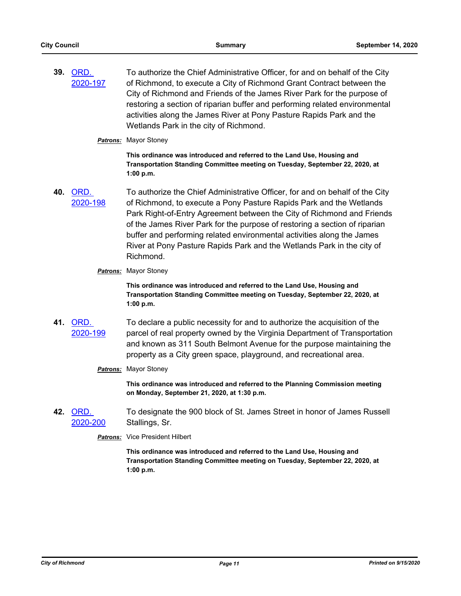- **39.** ORD. [2020-197](http://richmondva.legistar.com/gateway.aspx?m=l&id=/matter.aspx?key=28331) To authorize the Chief Administrative Officer, for and on behalf of the City of Richmond, to execute a City of Richmond Grant Contract between the City of Richmond and Friends of the James River Park for the purpose of restoring a section of riparian buffer and performing related environmental activities along the James River at Pony Pasture Rapids Park and the Wetlands Park in the city of Richmond.
	- *Patrons:* Mayor Stoney

**This ordinance was introduced and referred to the Land Use, Housing and Transportation Standing Committee meeting on Tuesday, September 22, 2020, at 1:00 p.m.**

- **40.** ORD. [2020-198](http://richmondva.legistar.com/gateway.aspx?m=l&id=/matter.aspx?key=28332) To authorize the Chief Administrative Officer, for and on behalf of the City of Richmond, to execute a Pony Pasture Rapids Park and the Wetlands Park Right-of-Entry Agreement between the City of Richmond and Friends of the James River Park for the purpose of restoring a section of riparian buffer and performing related environmental activities along the James River at Pony Pasture Rapids Park and the Wetlands Park in the city of Richmond.
	- *Patrons:* Mayor Stoney

**This ordinance was introduced and referred to the Land Use, Housing and Transportation Standing Committee meeting on Tuesday, September 22, 2020, at 1:00 p.m.**

- **41.** ORD. [2020-199](http://richmondva.legistar.com/gateway.aspx?m=l&id=/matter.aspx?key=28333) To declare a public necessity for and to authorize the acquisition of the parcel of real property owned by the Virginia Department of Transportation and known as 311 South Belmont Avenue for the purpose maintaining the property as a City green space, playground, and recreational area.
	- *Patrons:* Mayor Stoney

**This ordinance was introduced and referred to the Planning Commission meeting on Monday, September 21, 2020, at 1:30 p.m.**

**42.** ORD. [2020-200](http://richmondva.legistar.com/gateway.aspx?m=l&id=/matter.aspx?key=28334) To designate the 900 block of St. James Street in honor of James Russell Stallings, Sr.

*Patrons:* Vice President Hilbert

**This ordinance was introduced and referred to the Land Use, Housing and Transportation Standing Committee meeting on Tuesday, September 22, 2020, at 1:00 p.m.**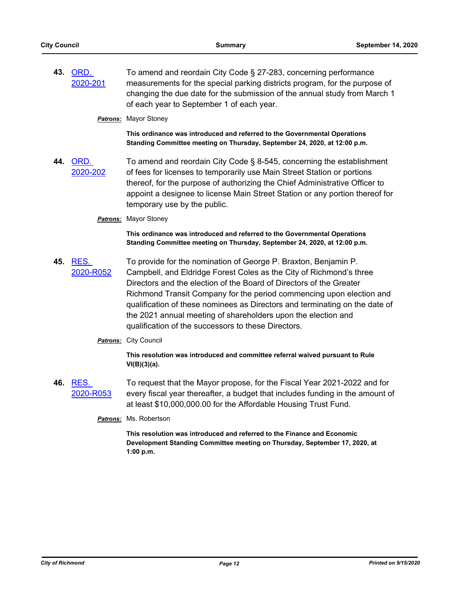**43.** ORD. [2020-201](http://richmondva.legistar.com/gateway.aspx?m=l&id=/matter.aspx?key=28335) To amend and reordain City Code § 27-283, concerning performance measurements for the special parking districts program, for the purpose of changing the due date for the submission of the annual study from March 1 of each year to September 1 of each year.

*Patrons:* Mayor Stoney

**This ordinance was introduced and referred to the Governmental Operations Standing Committee meeting on Thursday, September 24, 2020, at 12:00 p.m.**

**44.** ORD. [2020-202](http://richmondva.legistar.com/gateway.aspx?m=l&id=/matter.aspx?key=28336) To amend and reordain City Code § 8-545, concerning the establishment of fees for licenses to temporarily use Main Street Station or portions thereof, for the purpose of authorizing the Chief Administrative Officer to appoint a designee to license Main Street Station or any portion thereof for temporary use by the public.

# *Patrons:* Mayor Stoney

**This ordinance was introduced and referred to the Governmental Operations Standing Committee meeting on Thursday, September 24, 2020, at 12:00 p.m.**

**45.** RES. [2020-R052](http://richmondva.legistar.com/gateway.aspx?m=l&id=/matter.aspx?key=28339) To provide for the nomination of George P. Braxton, Benjamin P. Campbell, and Eldridge Forest Coles as the City of Richmond's three Directors and the election of the Board of Directors of the Greater Richmond Transit Company for the period commencing upon election and qualification of these nominees as Directors and terminating on the date of the 2021 annual meeting of shareholders upon the election and qualification of the successors to these Directors.

# *Patrons:* City Council

**This resolution was introduced and committee referral waived pursuant to Rule VI(B)(3)(a).**

**46.** RES. [2020-R053](http://richmondva.legistar.com/gateway.aspx?m=l&id=/matter.aspx?key=28340) To request that the Mayor propose, for the Fiscal Year 2021-2022 and for every fiscal year thereafter, a budget that includes funding in the amount of at least \$10,000,000.00 for the Affordable Housing Trust Fund.

#### *Patrons:* Ms. Robertson

**This resolution was introduced and referred to the Finance and Economic Development Standing Committee meeting on Thursday, September 17, 2020, at 1:00 p.m.**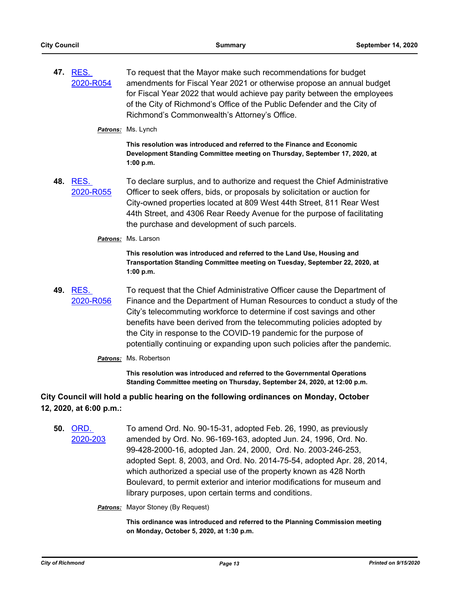**47.** RES. [2020-R054](http://richmondva.legistar.com/gateway.aspx?m=l&id=/matter.aspx?key=28341) To request that the Mayor make such recommendations for budget amendments for Fiscal Year 2021 or otherwise propose an annual budget for Fiscal Year 2022 that would achieve pay parity between the employees of the City of Richmond's Office of the Public Defender and the City of Richmond's Commonwealth's Attorney's Office.

*Patrons:* Ms. Lynch

**This resolution was introduced and referred to the Finance and Economic Development Standing Committee meeting on Thursday, September 17, 2020, at 1:00 p.m.**

- **48.** RES. [2020-R055](http://richmondva.legistar.com/gateway.aspx?m=l&id=/matter.aspx?key=28342) To declare surplus, and to authorize and request the Chief Administrative Officer to seek offers, bids, or proposals by solicitation or auction for City-owned properties located at 809 West 44th Street, 811 Rear West 44th Street, and 4306 Rear Reedy Avenue for the purpose of facilitating the purchase and development of such parcels.
	- *Patrons:* Ms. Larson

**This resolution was introduced and referred to the Land Use, Housing and Transportation Standing Committee meeting on Tuesday, September 22, 2020, at 1:00 p.m.**

**49.** RES. [2020-R056](http://richmondva.legistar.com/gateway.aspx?m=l&id=/matter.aspx?key=28343) To request that the Chief Administrative Officer cause the Department of Finance and the Department of Human Resources to conduct a study of the City's telecommuting workforce to determine if cost savings and other benefits have been derived from the telecommuting policies adopted by the City in response to the COVID-19 pandemic for the purpose of potentially continuing or expanding upon such policies after the pandemic.

# *Patrons:* Ms. Robertson

**This resolution was introduced and referred to the Governmental Operations Standing Committee meeting on Thursday, September 24, 2020, at 12:00 p.m.**

# **City Council will hold a public hearing on the following ordinances on Monday, October 12, 2020, at 6:00 p.m.:**

**50.** ORD. [2020-203](http://richmondva.legistar.com/gateway.aspx?m=l&id=/matter.aspx?key=28230) To amend Ord. No. 90-15-31, adopted Feb. 26, 1990, as previously amended by Ord. No. 96-169-163, adopted Jun. 24, 1996, Ord. No. 99-428-2000-16, adopted Jan. 24, 2000, Ord. No. 2003-246-253, adopted Sept. 8, 2003, and Ord. No. 2014-75-54, adopted Apr. 28, 2014, which authorized a special use of the property known as 428 North Boulevard, to permit exterior and interior modifications for museum and library purposes, upon certain terms and conditions.

# **Patrons:** Mayor Stoney (By Request)

**This ordinance was introduced and referred to the Planning Commission meeting on Monday, October 5, 2020, at 1:30 p.m.**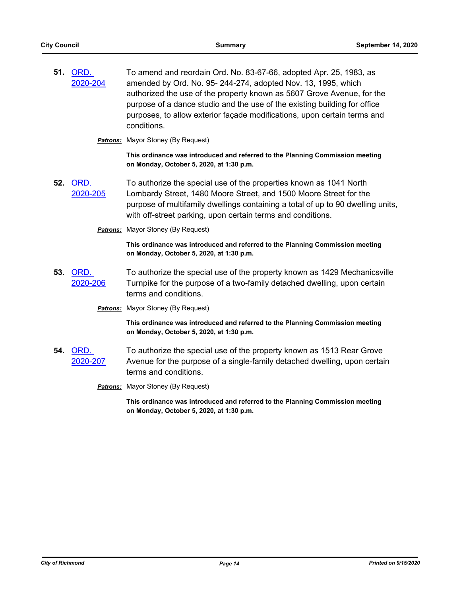| 51. | ORD.<br>2020-204 | To amend and reordain Ord. No. 83-67-66, adopted Apr. 25, 1983, as<br>amended by Ord. No. 95-244-274, adopted Nov. 13, 1995, which<br>authorized the use of the property known as 5607 Grove Avenue, for the<br>purpose of a dance studio and the use of the existing building for office<br>purposes, to allow exterior façade modifications, upon certain terms and<br>conditions. |
|-----|------------------|--------------------------------------------------------------------------------------------------------------------------------------------------------------------------------------------------------------------------------------------------------------------------------------------------------------------------------------------------------------------------------------|
|     |                  | <b>Patrons:</b> Mayor Stoney (By Request)                                                                                                                                                                                                                                                                                                                                            |
|     |                  | This ordinance was introduced and referred to the Planning Commission meeting<br>on Monday, October 5, 2020, at 1:30 p.m.                                                                                                                                                                                                                                                            |
| 52. | ORD.<br>2020-205 | To authorize the special use of the properties known as 1041 North<br>Lombardy Street, 1480 Moore Street, and 1500 Moore Street for the<br>purpose of multifamily dwellings containing a total of up to 90 dwelling units,<br>with off-street parking, upon certain terms and conditions.                                                                                            |
|     |                  | <b>Patrons:</b> Mayor Stoney (By Request)                                                                                                                                                                                                                                                                                                                                            |
|     |                  | This ordinance was introduced and referred to the Planning Commission meeting<br>on Monday, October 5, 2020, at 1:30 p.m.                                                                                                                                                                                                                                                            |
| 53. | ORD.<br>2020-206 | To authorize the special use of the property known as 1429 Mechanicsville<br>Turnpike for the purpose of a two-family detached dwelling, upon certain<br>terms and conditions.                                                                                                                                                                                                       |
|     |                  | <b>Patrons:</b> Mayor Stoney (By Request)                                                                                                                                                                                                                                                                                                                                            |
|     |                  | This ordinance was introduced and referred to the Planning Commission meeting<br>on Monday, October 5, 2020, at 1:30 p.m.                                                                                                                                                                                                                                                            |
| 54. | ORD.<br>2020-207 | To authorize the special use of the property known as 1513 Rear Grove<br>Avenue for the purpose of a single-family detached dwelling, upon certain<br>terms and conditions.                                                                                                                                                                                                          |
|     |                  | <b>Patrons:</b> Mayor Stoney (By Request)                                                                                                                                                                                                                                                                                                                                            |
|     |                  | This ordinance was introduced and referred to the Planning Commission meeting<br>on Monday, October 5, 2020, at 1:30 p.m.                                                                                                                                                                                                                                                            |
|     |                  |                                                                                                                                                                                                                                                                                                                                                                                      |